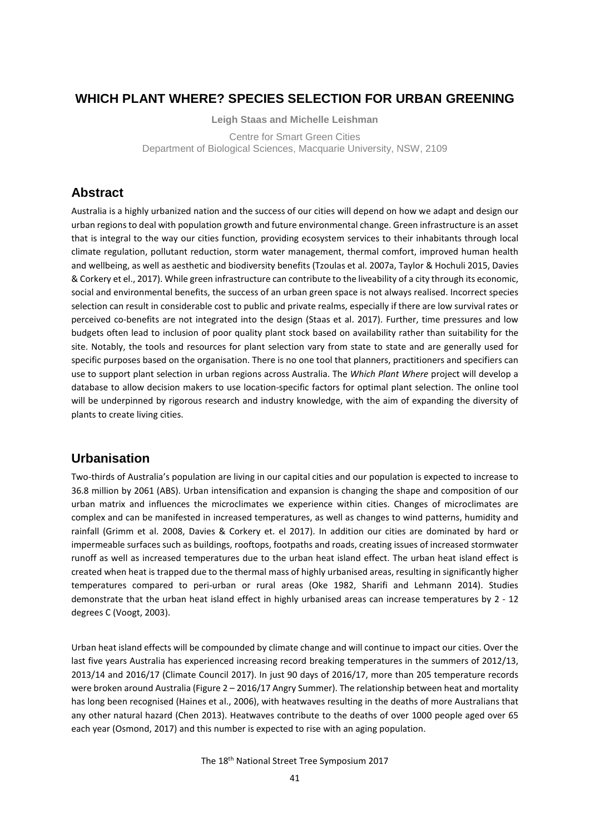# **WHICH PLANT WHERE? SPECIES SELECTION FOR URBAN GREENING**

**Leigh Staas and Michelle Leishman** Centre for Smart Green Cities Department of Biological Sciences, Macquarie University, NSW, 2109

# **Abstract**

Australia is a highly urbanized nation and the success of our cities will depend on how we adapt and design our urban regions to deal with population growth and future environmental change. Green infrastructure is an asset that is integral to the way our cities function, providing ecosystem services to their inhabitants through local climate regulation, pollutant reduction, storm water management, thermal comfort, improved human health and wellbeing, as well as aesthetic and biodiversity benefits (Tzoulas et al. 2007a, Taylor & Hochuli 2015, Davies & Corkery et el., 2017). While green infrastructure can contribute to the liveability of a city through its economic, social and environmental benefits, the success of an urban green space is not always realised. Incorrect species selection can result in considerable cost to public and private realms, especially if there are low survival rates or perceived co-benefits are not integrated into the design (Staas et al. 2017). Further, time pressures and low budgets often lead to inclusion of poor quality plant stock based on availability rather than suitability for the site. Notably, the tools and resources for plant selection vary from state to state and are generally used for specific purposes based on the organisation. There is no one tool that planners, practitioners and specifiers can use to support plant selection in urban regions across Australia. The *Which Plant Where* project will develop a database to allow decision makers to use location-specific factors for optimal plant selection. The online tool will be underpinned by rigorous research and industry knowledge, with the aim of expanding the diversity of plants to create living cities.

# **Urbanisation**

Two-thirds of Australia's population are living in our capital cities and our population is expected to increase to 36.8 million by 2061 (ABS). Urban intensification and expansion is changing the shape and composition of our urban matrix and influences the microclimates we experience within cities. Changes of microclimates are complex and can be manifested in increased temperatures, as well as changes to wind patterns, humidity and rainfall (Grimm et al. 2008, Davies & Corkery et. el 2017). In addition our cities are dominated by hard or impermeable surfaces such as buildings, rooftops, footpaths and roads, creating issues of increased stormwater runoff as well as increased temperatures due to the urban heat island effect. The urban heat island effect is created when heat is trapped due to the thermal mass of highly urbanised areas, resulting in significantly higher temperatures compared to peri-urban or rural areas (Oke 1982, Sharifi and Lehmann 2014). Studies demonstrate that the urban heat island effect in highly urbanised areas can increase temperatures by 2 - 12 degrees C (Voogt, 2003).

Urban heat island effects will be compounded by climate change and will continue to impact our cities. Over the last five years Australia has experienced increasing record breaking temperatures in the summers of 2012/13, 2013/14 and 2016/17 (Climate Council 2017). In just 90 days of 2016/17, more than 205 temperature records were broken around Australia (Figure 2 – 2016/17 Angry Summer). The relationship between heat and mortality has long been recognised (Haines et al., 2006), with heatwaves resulting in the deaths of more Australians that any other natural hazard (Chen 2013). Heatwaves contribute to the deaths of over 1000 people aged over 65 each year (Osmond, 2017) and this number is expected to rise with an aging population.

The 18th National Street Tree Symposium 2017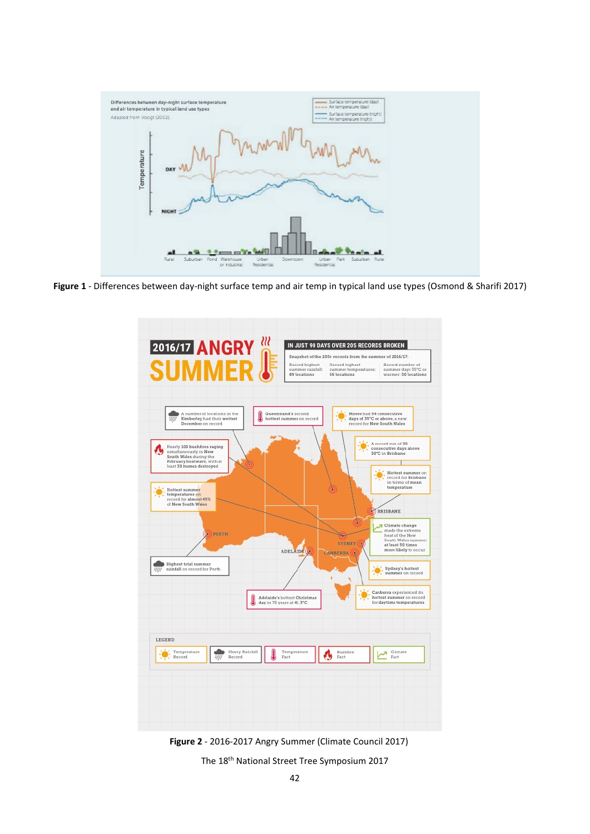

**Figure 1** - Differences between day-night surface temp and air temp in typical land use types (Osmond & Sharifi 2017)



**Figure 2** - 2016-2017 Angry Summer (Climate Council 2017)

The 18th National Street Tree Symposium 2017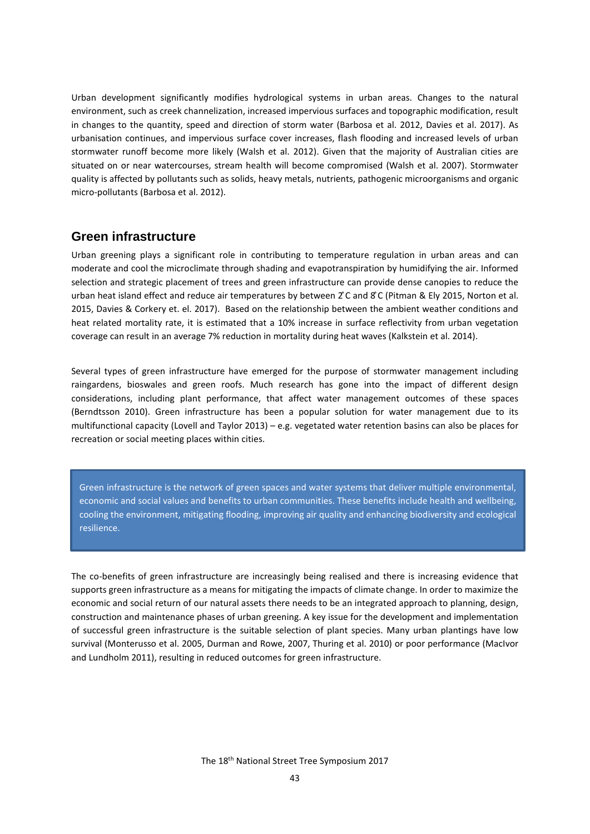Urban development significantly modifies hydrological systems in urban areas. Changes to the natural environment, such as creek channelization, increased impervious surfaces and topographic modification, result in changes to the quantity, speed and direction of storm water (Barbosa et al. 2012, Davies et al. 2017). As urbanisation continues, and impervious surface cover increases, flash flooding and increased levels of urban stormwater runoff become more likely (Walsh et al. 2012). Given that the majority of Australian cities are situated on or near watercourses, stream health will become compromised (Walsh et al. 2007). Stormwater quality is affected by pollutants such as solids, heavy metals, nutrients, pathogenic microorganisms and organic micro-pollutants (Barbosa et al. 2012).

## **Green infrastructure**

Urban greening plays a significant role in contributing to temperature regulation in urban areas and can moderate and cool the microclimate through shading and evapotranspiration by humidifying the air. Informed selection and strategic placement of trees and green infrastructure can provide dense canopies to reduce the urban heat island effect and reduce air temperatures by between 2 ̊C and 8 ̊C (Pitman & Ely 2015, Norton et al. 2015, Davies & Corkery et. el. 2017). Based on the relationship between the ambient weather conditions and heat related mortality rate, it is estimated that a 10% increase in surface reflectivity from urban vegetation coverage can result in an average 7% reduction in mortality during heat waves (Kalkstein et al. 2014).

Several types of green infrastructure have emerged for the purpose of stormwater management including raingardens, bioswales and green roofs. Much research has gone into the impact of different design considerations, including plant performance, that affect water management outcomes of these spaces (Berndtsson 2010). Green infrastructure has been a popular solution for water management due to its multifunctional capacity (Lovell and Taylor 2013) – e.g. vegetated water retention basins can also be places for recreation or social meeting places within cities.

Green infrastructure is the network of green spaces and water systems that deliver multiple environmental, economic and social values and benefits to urban communities. These benefits include health and wellbeing, cooling the environment, mitigating flooding, improving air quality and enhancing biodiversity and ecological resilience.

The co-benefits of green infrastructure are increasingly being realised and there is increasing evidence that supports green infrastructure as a means for mitigating the impacts of climate change. In order to maximize the economic and social return of our natural assets there needs to be an integrated approach to planning, design, construction and maintenance phases of urban greening. A key issue for the development and implementation of successful green infrastructure is the suitable selection of plant species. Many urban plantings have low survival (Monterusso et al. 2005, Durman and Rowe, 2007, Thuring et al. 2010) or poor performance (MacIvor and Lundholm 2011), resulting in reduced outcomes for green infrastructure.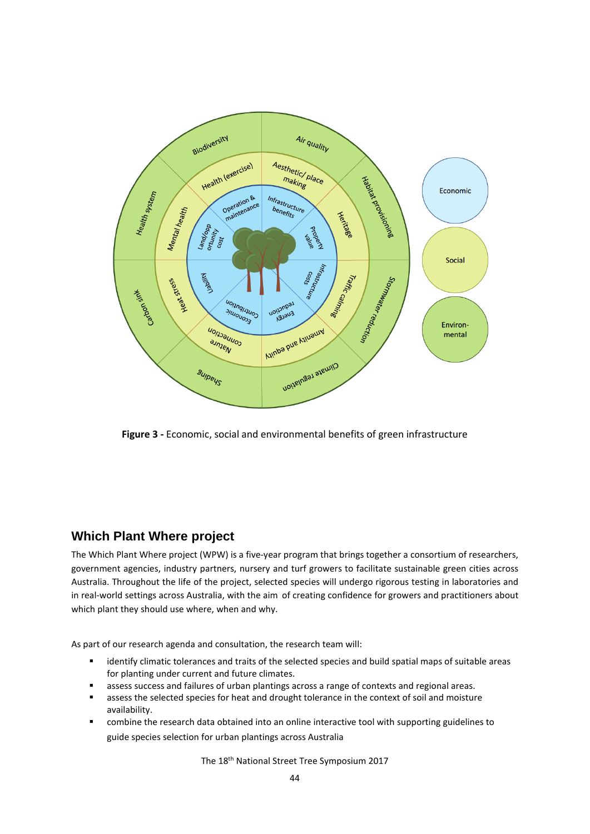

**Figure 3 -** Economic, social and environmental benefits of green infrastructure

# **Which Plant Where project**

The Which Plant Where project (WPW) is a five-year program that brings together a consortium of researchers, government agencies, industry partners, nursery and turf growers to facilitate sustainable green cities across Australia. Throughout the life of the project, selected species will undergo rigorous testing in laboratories and in real-world settings across Australia, with the aim of creating confidence for growers and practitioners about which plant they should use where, when and why.

As part of our research agenda and consultation, the research team will:

- identify climatic tolerances and traits of the selected species and build spatial maps of suitable areas for planting under current and future climates.
- **EXED** assess success and failures of urban plantings across a range of contexts and regional areas.
- assess the selected species for heat and drought tolerance in the context of soil and moisture availability.
- combine the research data obtained into an online interactive tool with supporting guidelines to guide species selection for urban plantings across Australia

The 18<sup>th</sup> National Street Tree Symposium 2017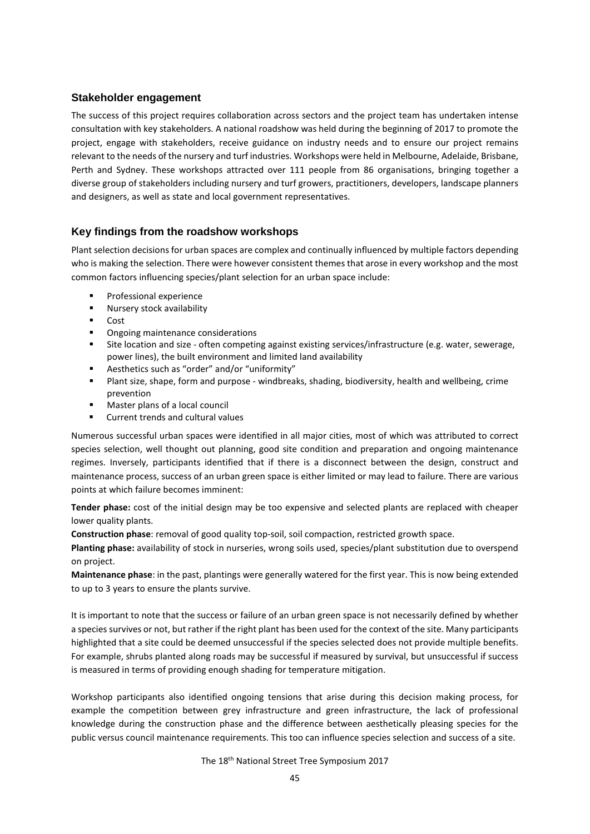### **Stakeholder engagement**

The success of this project requires collaboration across sectors and the project team has undertaken intense consultation with key stakeholders. A national roadshow was held during the beginning of 2017 to promote the project, engage with stakeholders, receive guidance on industry needs and to ensure our project remains relevant to the needs of the nursery and turf industries. Workshops were held in Melbourne, Adelaide, Brisbane, Perth and Sydney. These workshops attracted over 111 people from 86 organisations, bringing together a diverse group of stakeholders including nursery and turf growers, practitioners, developers, landscape planners and designers, as well as state and local government representatives.

## **Key findings from the roadshow workshops**

Plant selection decisions for urban spaces are complex and continually influenced by multiple factors depending who is making the selection. There were however consistent themes that arose in every workshop and the most common factors influencing species/plant selection for an urban space include:

- Professional experience
- **Nursery stock availability**
- $\overline{\phantom{a}}$  Cost
- Ongoing maintenance considerations
- Site location and size often competing against existing services/infrastructure (e.g. water, sewerage, power lines), the built environment and limited land availability
- Aesthetics such as "order" and/or "uniformity"
- Plant size, shape, form and purpose windbreaks, shading, biodiversity, health and wellbeing, crime prevention
- Master plans of a local council
- Current trends and cultural values

Numerous successful urban spaces were identified in all major cities, most of which was attributed to correct species selection, well thought out planning, good site condition and preparation and ongoing maintenance regimes. Inversely, participants identified that if there is a disconnect between the design, construct and maintenance process, success of an urban green space is either limited or may lead to failure. There are various points at which failure becomes imminent:

**Tender phase:** cost of the initial design may be too expensive and selected plants are replaced with cheaper lower quality plants.

**Construction phase**: removal of good quality top-soil, soil compaction, restricted growth space.

**Planting phase:** availability of stock in nurseries, wrong soils used, species/plant substitution due to overspend on project.

**Maintenance phase**: in the past, plantings were generally watered for the first year. This is now being extended to up to 3 years to ensure the plants survive.

It is important to note that the success or failure of an urban green space is not necessarily defined by whether a species survives or not, but rather if the right plant has been used for the context of the site. Many participants highlighted that a site could be deemed unsuccessful if the species selected does not provide multiple benefits. For example, shrubs planted along roads may be successful if measured by survival, but unsuccessful if success is measured in terms of providing enough shading for temperature mitigation.

Workshop participants also identified ongoing tensions that arise during this decision making process, for example the competition between grey infrastructure and green infrastructure, the lack of professional knowledge during the construction phase and the difference between aesthetically pleasing species for the public versus council maintenance requirements. This too can influence species selection and success of a site.

The 18<sup>th</sup> National Street Tree Symposium 2017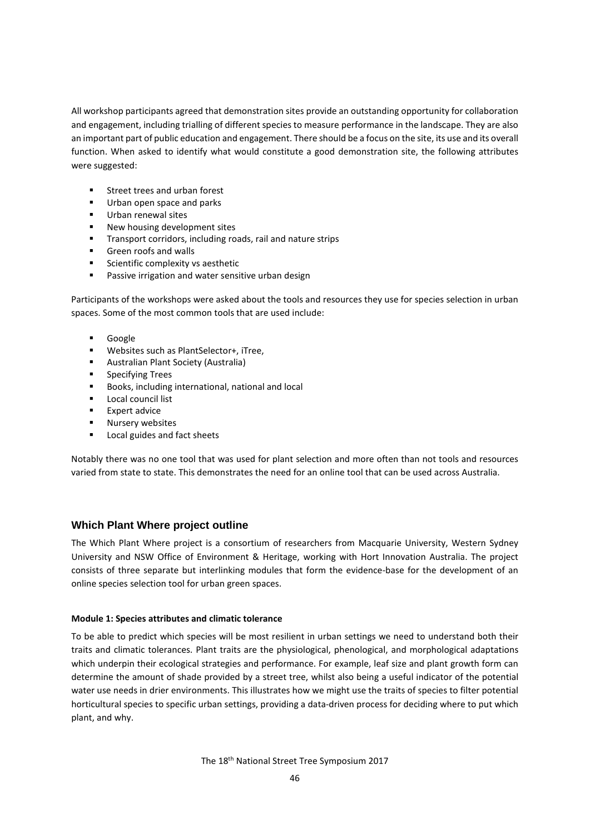All workshop participants agreed that demonstration sites provide an outstanding opportunity for collaboration and engagement, including trialling of different species to measure performance in the landscape. They are also an important part of public education and engagement. There should be a focus on the site, its use and its overall function. When asked to identify what would constitute a good demonstration site, the following attributes were suggested:

- Street trees and urban forest
- **Urban open space and parks**
- Urban renewal sites
- New housing development sites
- **Transport corridors, including roads, rail and nature strips**
- **Green roofs and walls**
- **Scientific complexity vs aesthetic**
- **Passive irrigation and water sensitive urban design**

Participants of the workshops were asked about the tools and resources they use for species selection in urban spaces. Some of the most common tools that are used include:

- Google
- Websites such as PlantSelector+, iTree,
- Australian Plant Society (Australia)
- **Specifying Trees**
- **Books, including international, national and local**
- Local council list
- **Expert advice**
- Nursery websites
- **Local guides and fact sheets**

Notably there was no one tool that was used for plant selection and more often than not tools and resources varied from state to state. This demonstrates the need for an online tool that can be used across Australia.

### **Which Plant Where project outline**

The Which Plant Where project is a consortium of researchers from Macquarie University, Western Sydney University and NSW Office of Environment & Heritage, working with Hort Innovation Australia. The project consists of three separate but interlinking modules that form the evidence-base for the development of an online species selection tool for urban green spaces.

#### **Module 1: Species attributes and climatic tolerance**

To be able to predict which species will be most resilient in urban settings we need to understand both their traits and climatic tolerances. Plant traits are the physiological, phenological, and morphological adaptations which underpin their ecological strategies and performance. For example, leaf size and plant growth form can determine the amount of shade provided by a street tree, whilst also being a useful indicator of the potential water use needs in drier environments. This illustrates how we might use the traits of species to filter potential horticultural species to specific urban settings, providing a data-driven process for deciding where to put which plant, and why.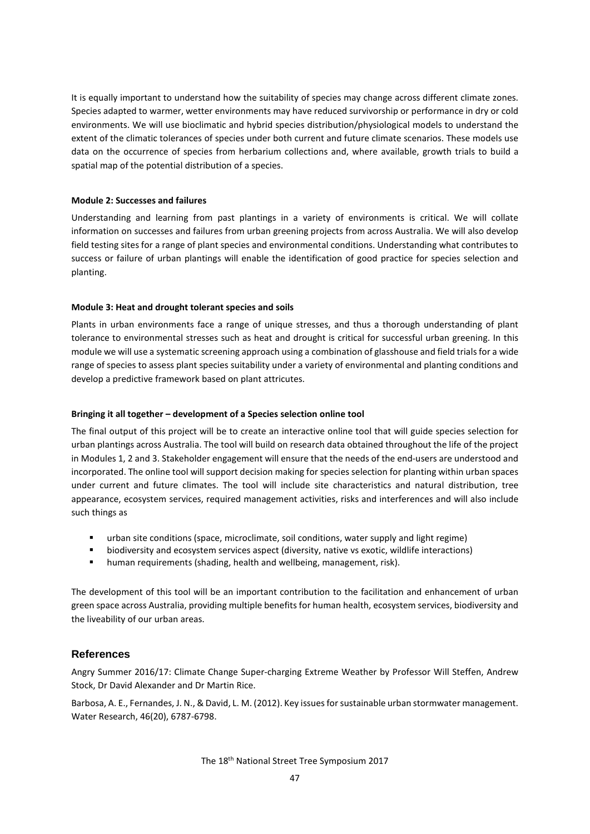It is equally important to understand how the suitability of species may change across different climate zones. Species adapted to warmer, wetter environments may have reduced survivorship or performance in dry or cold environments. We will use bioclimatic and hybrid species distribution/physiological models to understand the extent of the climatic tolerances of species under both current and future climate scenarios. These models use data on the occurrence of species from herbarium collections and, where available, growth trials to build a spatial map of the potential distribution of a species.

#### **Module 2: Successes and failures**

Understanding and learning from past plantings in a variety of environments is critical. We will collate information on successes and failures from urban greening projects from across Australia. We will also develop field testing sites for a range of plant species and environmental conditions. Understanding what contributes to success or failure of urban plantings will enable the identification of good practice for species selection and planting.

### **Module 3: Heat and drought tolerant species and soils**

Plants in urban environments face a range of unique stresses, and thus a thorough understanding of plant tolerance to environmental stresses such as heat and drought is critical for successful urban greening. In this module we will use a systematic screening approach using a combination of glasshouse and field trials for a wide range of species to assess plant species suitability under a variety of environmental and planting conditions and develop a predictive framework based on plant attricutes.

#### **Bringing it all together – development of a Species selection online tool**

The final output of this project will be to create an interactive online tool that will guide species selection for urban plantings across Australia. The tool will build on research data obtained throughout the life of the project in Modules 1, 2 and 3. Stakeholder engagement will ensure that the needs of the end-users are understood and incorporated. The online tool will support decision making for species selection for planting within urban spaces under current and future climates. The tool will include site characteristics and natural distribution, tree appearance, ecosystem services, required management activities, risks and interferences and will also include such things as

- urban site conditions (space, microclimate, soil conditions, water supply and light regime)
- biodiversity and ecosystem services aspect (diversity, native vs exotic, wildlife interactions)
- **•** human requirements (shading, health and wellbeing, management, risk).

The development of this tool will be an important contribution to the facilitation and enhancement of urban green space across Australia, providing multiple benefits for human health, ecosystem services, biodiversity and the liveability of our urban areas.

## **References**

Angry Summer 2016/17: Climate Change Super-charging Extreme Weather by Professor Will Steffen, Andrew Stock, Dr David Alexander and Dr Martin Rice.

Barbosa, A. E., Fernandes, J. N., & David, L. M. (2012). Key issues for sustainable urban stormwater management. Water Research, 46(20), 6787-6798.